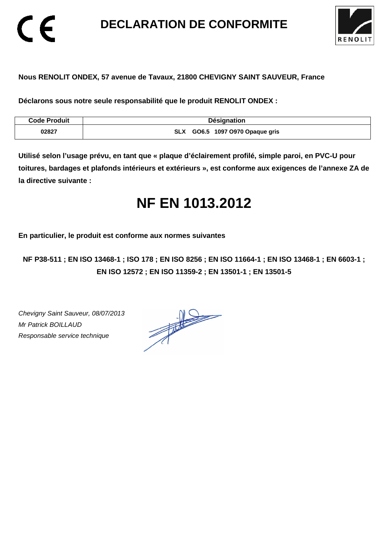**DECLARATION DE CONFORMITE** 



#### **Nous RENOLIT ONDEX, 57 avenue de Tavaux, 21800 CHEVIGNY SAINT SAUVEUR, France**

**Déclarons sous notre seule responsabilité que le produit RENOLIT ONDEX :** 

| <b>Code Produit</b> | <b>Désignation</b>                        |
|---------------------|-------------------------------------------|
| 02827               | GO6.5 1097 O970 Opaque gris<br><b>SLX</b> |

**Utilisé selon l'usage prévu, en tant que « plaque d'éclairement profilé, simple paroi, en PVC-U pour toitures, bardages et plafonds intérieurs et extérieurs », est conforme aux exigences de l'annexe ZA de la directive suivante :** 

## **NF EN 1013.2012**

**En particulier, le produit est conforme aux normes suivantes** 

**NF P38-511 ; EN ISO 13468-1 ; ISO 178 ; EN ISO 8256 ; EN ISO 11664-1 ; EN ISO 13468-1 ; EN 6603-1 ; EN ISO 12572 ; EN ISO 11359-2 ; EN 13501-1 ; EN 13501-5**

Chevigny Saint Sauveur, 08/07/2013 Mr Patrick BOILLAUD Responsable service technique

 $\epsilon$ 

 $\frac{1}{\sqrt{2\pi}}\int_{0}^{\frac{1}{2}}\frac{dx}{(x-y)^{2}}\,dy\,dy=0$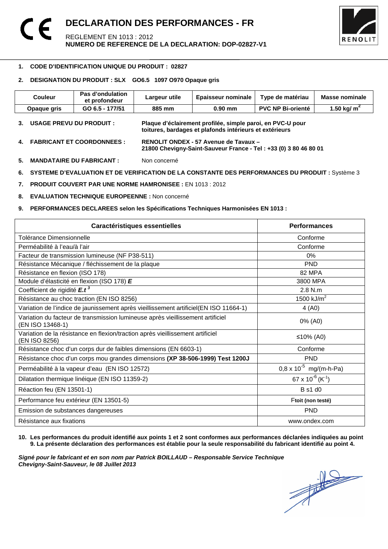

#### 1 **1. CODE D'IDENTIFICATION UNIQUE DU PRODUIT : 02827**

#### **2. DESIGNATION DU PRODUIT : SLX GO6.5 1097 O970 Opaque gris**

| <b>Couleur</b>                | Pas d'ondulation<br>et profondeur | Largeur utile | <b>Epaisseur nominale</b>                                                                                             | Type de matériau         | Masse nominale |
|-------------------------------|-----------------------------------|---------------|-----------------------------------------------------------------------------------------------------------------------|--------------------------|----------------|
| Opaque gris                   | GO 6.5 - 177/51                   | 885 mm        | $0.90$ mm                                                                                                             | <b>PVC NP Bi-orienté</b> | 1.50 kg/ $m^2$ |
| 3.                            | USAGE PREVU DU PRODUIT :          |               | Plaque d'éclairement profilée, simple paroi, en PVC-U pour<br>toitures, bardages et plafonds intérieurs et extérieurs |                          |                |
| 4. FABRICANT ET COORDONNEES : |                                   |               | RENOLIT ONDEX - 57 Avenue de Tavaux -<br>21800 Chevigny-Saint-Sauveur France - Tel: +33 (0) 3 80 46 80 01             |                          |                |

**5. MANDATAIRE DU FABRICANT :** Non concerné

**6. SYSTEME D'EVALUATION ET DE VERIFICATION DE LA CONSTANTE DES PERFORMANCES DU PRODUIT :** Système 3

**7. PRODUIT COUVERT PAR UNE NORME HAMRONISEE :** EN 1013 : 2012

**8. EVALUATION TECHNIQUE EUROPEENNE :** Non concerné

#### **9. PERFORMANCES DECLAREES selon les Spécifications Techniques Harmonisées EN 1013 :**

| Caractéristiques essentielles                                                                      | <b>Performances</b>               |
|----------------------------------------------------------------------------------------------------|-----------------------------------|
| Tolérance Dimensionnelle                                                                           | Conforme                          |
| Perméabilité à l'eau/à l'air                                                                       | Conforme                          |
| Facteur de transmission lumineuse (NF P38-511)                                                     | $0\%$                             |
| Résistance Mécanique / fléchissement de la plaque                                                  | <b>PND</b>                        |
| Résistance en flexion (ISO 178)                                                                    | 82 MPA                            |
| Module d'élasticité en flexion (ISO 178) E                                                         | 3800 MPA                          |
| Coefficient de rigidité E.t <sup>3</sup>                                                           | $2.8$ N.m.                        |
| Résistance au choc traction (EN ISO 8256)                                                          | 1500 kJ/ $m^2$                    |
| Variation de l'indice de jaunissement après vieillissement artificiel(EN ISO 11664-1)              | 4(AD)                             |
| Variation du facteur de transmission lumineuse après vieillissement artificiel<br>(EN ISO 13468-1) | 0% (A0)                           |
| Variation de la résistance en flexion/traction après vieillissement artificiel<br>(EN ISO 8256)    | ≤10% (A0)                         |
| Résistance choc d'un corps dur de faibles dimensions (EN 6603-1)                                   | Conforme                          |
| Résistance choc d'un corps mou grandes dimensions (XP 38-506-1999) Test 1200J                      | <b>PND</b>                        |
| Perméabilité à la vapeur d'eau (EN ISO 12572)                                                      | $0.8 \times 10^{-5}$ mg/(m-h-Pa)  |
| Dilatation thermique linéique (EN ISO 11359-2)                                                     | 67 x $10^{-6}$ (K <sup>-1</sup> ) |
| Réaction feu (EN 13501-1)                                                                          | <b>B</b> s1 d0                    |
| Performance feu extérieur (EN 13501-5)                                                             | Ftoit (non testé)                 |
| Emission de substances dangereuses                                                                 | <b>PND</b>                        |
| Résistance aux fixations                                                                           | www.ondex.com                     |

#### **10. Les performances du produit identifié aux points 1 et 2 sont conformes aux performances déclarées indiquées au point 9. La présente déclaration des performances est établie pour la seule responsabilité du fabricant identifié au point 4.**

Signé pour le fabricant et en son nom par Patrick BOILLAUD – Responsable Service Technique<br>Chevigny-Saint-Sauveur, le 08 Juillet 2013<br> **Chevigny-Saint-Sauveur, le 08 Juillet 2013 Chevigny-Saint-Sauveur, le 08 Juillet 2013**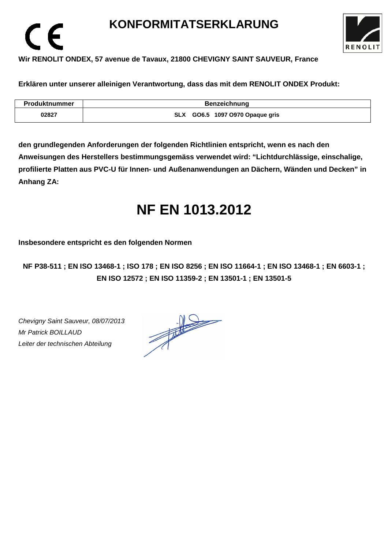### **KONFORMITATSERKLARUNG**



#### **Wir RENOLIT ONDEX, 57 avenue de Tavaux, 21800 CHEVIGNY SAINT SAUVEUR, France**

**Erklären unter unserer alleinigen Verantwortung, dass das mit dem RENOLIT ONDEX Produkt:** 

| <b>Produktnummer</b> | <b>Benzeichnung</b>             |
|----------------------|---------------------------------|
| 02827                | SLX GO6.5 1097 O970 Opaque gris |

**den grundlegenden Anforderungen der folgenden Richtlinien entspricht, wenn es nach den Anweisungen des Herstellers bestimmungsgemäss verwendet wird: "Lichtdurchlässige, einschalige, profilierte Platten aus PVC-U für Innen- und Außenanwendungen an Dächern, Wänden und Decken" in Anhang ZA:** 

### **NF EN 1013.2012**

**Insbesondere entspricht es den folgenden Normen** 

**NF P38-511 ; EN ISO 13468-1 ; ISO 178 ; EN ISO 8256 ; EN ISO 11664-1 ; EN ISO 13468-1 ; EN 6603-1 ; EN ISO 12572 ; EN ISO 11359-2 ; EN 13501-1 ; EN 13501-5**

Chevigny Saint Sauveur, 08/07/2013 Mr Patrick BOILLAUD Leiter der technischen Abteilung

 $\epsilon$ 

 $\frac{1}{\sqrt{1-\frac{1}{2}}}\left\vert \frac{1}{\sqrt{1-\frac{1}{2}}}\right\vert = \frac{1}{\sqrt{1-\frac{1}{2}}}\left\vert \frac{1}{\sqrt{1-\frac{1}{2}}}\right\vert.$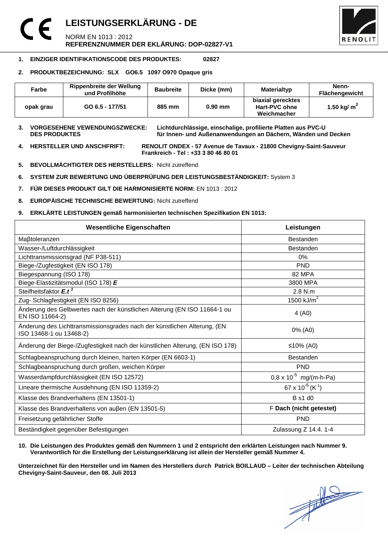### **LEISTUNGSERKLÄRUNG - DE**  NORM EN 1013 : 2012 **REFERENZNUMMER DER EKLÄRUNG: DOP-02827-V1**



#### **1. EINZIGER IDENTIFIKATIONSCODE DES PRODUKTES: 02827**

#### **2. PRODUKTBEZEICHNUNG: SLX GO6.5 1097 O970 Opaque gris**

| Farbe     | <b>Rippenbreite der Wellung</b><br>und Profilhöhe | <b>Baubreite</b> | Dicke (mm) | Materialtyp                                       | Nenn-<br><b>Flächengewicht</b> |
|-----------|---------------------------------------------------|------------------|------------|---------------------------------------------------|--------------------------------|
| opak grau | GO 6.5 - 177/51                                   | 885 mm           | $0.90$ mm  | biaxial gerecktes<br>Hart-PVC ohne<br>Weichmacher | 1.50 kg/ $m2$                  |

**3. VORGESEHENE VEWENDUNGSZWECKE: Lichtdurchlässige, einschalige, profilierte Platten aus PVC-U**  für Innen- und Außenanwendungen an Dächern, Wänden und Decken

**4. HERSTELLER UND ANSCHFRIFT: RENOLIT ONDEX - 57 Avenue de Tavaux - 21800 Chevigny-Saint-Sauveur Frankreich - Tel : +33 3 80 46 80 01** 

- **5. BEVOLLMÄCHTIGTER DES HERSTELLERS:** Nicht zutreffend
- **6. SYSTEM ZUR BEWERTUNG UND ÜBERPRÜFUNG DER LEISTUNGSBESTÄNDIGKEIT:** System 3
- **7. FÜR DIESES PRODUKT GILT DIE HARMONISIERTE NORM:** EN 1013 : 2012
- **8. EUROPÄISCHE TECHNISCHE BEWERTUNG:** Nicht zutreffend
- **9. ERKLÄRTE LEISTUNGEN gemäß harmonisierten technischen Spezifikation EN 1013:**

| <b>Wesentliche Eigenschaften</b>                                                                    | Leistungen                               |  |
|-----------------------------------------------------------------------------------------------------|------------------------------------------|--|
| Maßtoleranzen                                                                                       | <b>Bestanden</b>                         |  |
| Wasser-/Luftdurchlässigkeit                                                                         | <b>Bestanden</b>                         |  |
| Lichttransmissionsgrad (NF P38-511)                                                                 | 0%                                       |  |
| Biege-/Zugfestigkeit (EN ISO 178)                                                                   | <b>PND</b>                               |  |
| Biegespannung (ISO 178)                                                                             | 82 MPA                                   |  |
| Biege-Elastizitätsmodul (ISO 178) E                                                                 | 3800 MPA                                 |  |
| Steifheitsfaktor E.t <sup>3</sup>                                                                   | 2.8 N.m                                  |  |
| Zug- Schlagfestigkeit (EN ISO 8256)                                                                 | 1500 $kJ/m2$                             |  |
| Änderung des Gelbwertes nach der künstlichen Alterung (EN ISO 11664-1 ou<br>EN ISO 11664-2)         | 4 (A0)                                   |  |
| Änderung des Lichttransmissionsgrades nach der künstlichen Alterung, (EN<br>ISO 13468-1 ou 13468-2) | 0% (A0)                                  |  |
| Änderung der Biege-/Zugfestigkeit nach der künstlichen Alterung, (EN ISO 178)                       | ≤10% (A0)                                |  |
| Schlagbeanspruchung durch kleinen, harten Körper (EN 6603-1)                                        | <b>Bestanden</b>                         |  |
| Schlagbeanspruchung durch großen, weichen Körper                                                    | <b>PND</b>                               |  |
| Wasserdampfdurchlässigkeit (EN ISO 12572)                                                           | $0.8 \times 10^{-5}$ mg/(m-h-Pa)         |  |
| Lineare thermische Ausdehnung (EN ISO 11359-2)                                                      | 67 x 10 <sup>-6</sup> (K <sup>-1</sup> ) |  |
| Klasse des Brandverhaltens (EN 13501-1)                                                             | <b>B</b> s1 d0                           |  |
| Klasse des Brandverhaltens von außen (EN 13501-5)                                                   | F Dach (nicht getestet)                  |  |
| Freisetzung gefährlicher Stoffe                                                                     | <b>PND</b>                               |  |
| Beständigkeit gegenüber Befestigungen                                                               | Zulassung Z 14.4. 1-4                    |  |

#### **10. Die Leistungen des Produktes gemäß den Nummern 1 und 2 entspricht den erklärten Leistungen nach Nummer 9. Verantwortlich für die Erstellung der Leistungserklärung ist allein der Hersteller gemäß Nummer 4.**

**Unterzeichnet für den Hersteller und im Namen des Herstellers durch Patrick BOILLAUD – Leiter der technischen Abteilung Chevigny-Saint-Sauveur, den 08. Juli 2013**

 $\frac{1}{\sqrt{2}}$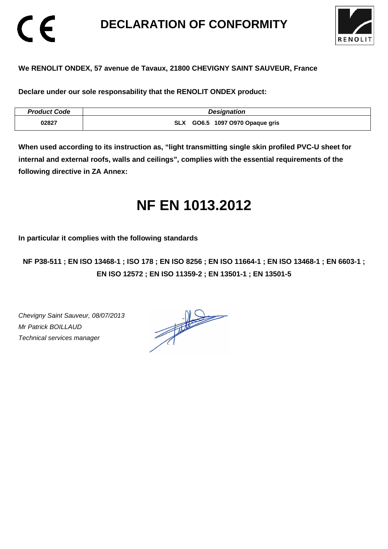### **DECLARATION OF CONFORMITY**



#### **We RENOLIT ONDEX, 57 avenue de Tavaux, 21800 CHEVIGNY SAINT SAUVEUR, France**

**Declare under our sole responsability that the RENOLIT ONDEX product:** 

| <b>Product Code</b> | <b>Designation</b>              |
|---------------------|---------------------------------|
| 02827               | SLX GO6.5 1097 0970 Opaque gris |

**When used according to its instruction as, "light transmitting single skin profiled PVC-U sheet for internal and external roofs, walls and ceilings", complies with the essential requirements of the following directive in ZA Annex:** 

### **NF EN 1013.2012**

**In particular it complies with the following standards** 

**NF P38-511 ; EN ISO 13468-1 ; ISO 178 ; EN ISO 8256 ; EN ISO 11664-1 ; EN ISO 13468-1 ; EN 6603-1 ; EN ISO 12572 ; EN ISO 11359-2 ; EN 13501-1 ; EN 13501-5**

Chevigny Saint Sauveur, 08/07/2013 Mr Patrick BOILLAUD Technical services manager

CE

 $\frac{1}{\sqrt{2}}$